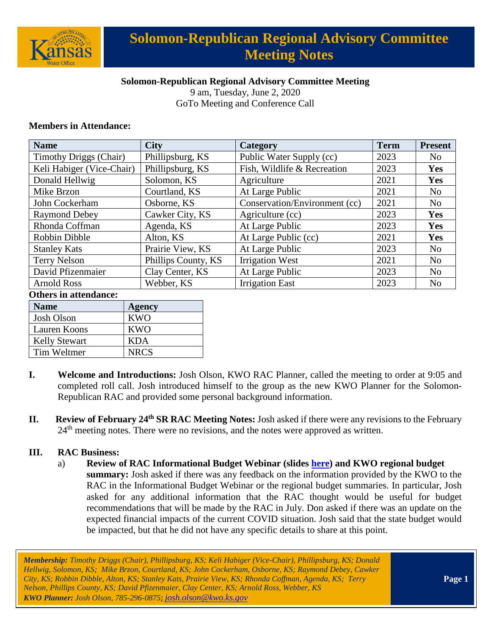

# **Solomon-Republican Regional Advisory Committee Meeting Notes**

### **Solomon-Republican Regional Advisory Committee Meeting**

9 am, Tuesday, June 2, 2020 GoTo Meeting and Conference Call

### **Members in Attendance:**

| <b>Name</b>                   | <b>City</b>         | Category                      | <b>Term</b> | <b>Present</b> |
|-------------------------------|---------------------|-------------------------------|-------------|----------------|
| <b>Timothy Driggs (Chair)</b> | Phillipsburg, KS    | Public Water Supply (cc)      | 2023        | N <sub>0</sub> |
| Keli Habiger (Vice-Chair)     | Phillipsburg, KS    | Fish, Wildlife & Recreation   | 2023        | Yes            |
| Donald Hellwig                | Solomon, KS         | Agriculture                   | 2021        | <b>Yes</b>     |
| Mike Brzon                    | Courtland, KS       | At Large Public               | 2021        | N <sub>0</sub> |
| John Cockerham                | Osborne, KS         | Conservation/Environment (cc) | 2021        | N <sub>o</sub> |
| <b>Raymond Debey</b>          | Cawker City, KS     | Agriculture (cc)              | 2023        | <b>Yes</b>     |
| Rhonda Coffman                | Agenda, KS          | At Large Public               | 2023        | Yes            |
| Robbin Dibble                 | Alton, KS           | At Large Public (cc)          | 2021        | Yes            |
| <b>Stanley Kats</b>           | Prairie View, KS    | At Large Public               | 2023        | N <sub>o</sub> |
| <b>Terry Nelson</b>           | Phillips County, KS | <b>Irrigation West</b>        | 2021        | N <sub>o</sub> |
| David Pfizenmaier             | Clay Center, KS     | At Large Public               | 2023        | N <sub>o</sub> |
| <b>Arnold Ross</b>            | Webber, KS          | <b>Irrigation East</b>        | 2023        | No             |

#### **Others in attendance:**

| <b>Name</b>          | <b>Agency</b> |
|----------------------|---------------|
| Josh Olson           | KWO           |
| Lauren Koons         | KWO           |
| <b>Kelly Stewart</b> | <b>KDA</b>    |
| Tim Weltmer          | <b>NRCS</b>   |

- **I. Welcome and Introductions:** Josh Olson, KWO RAC Planner, called the meeting to order at 9:05 and completed roll call. Josh introduced himself to the group as the new KWO Planner for the Solomon-Republican RAC and provided some personal background information.
- **II. Review of February 24th SR RAC Meeting Notes:** Josh asked if there were any revisions to the February 24<sup>th</sup> meeting notes. There were no revisions, and the notes were approved as written.

### **III. RAC Business:**

a) **Review of RAC Informational Budget Webinar (slides [here\)](https://kwo.ks.gov/docs/default-source/default-document-library/racinformationalbudgetwebinarslides_041720_forwebsite-(2).pdf?sfvrsn=38a68214_0) and KWO regional budget summary:** Josh asked if there was any feedback on the information provided by the KWO to the RAC in the Informational Budget Webinar or the regional budget summaries. In particular, Josh asked for any additional information that the RAC thought would be useful for budget recommendations that will be made by the RAC in July. Don asked if there was an update on the expected financial impacts of the current COVID situation. Josh said that the state budget would be impacted, but that he did not have any specific details to share at this point.

*Membership: Timothy Driggs (Chair), Phillipsburg, KS; Keli Habiger (Vice-Chair), Phillipsburg, KS; Donald Hellwig, Solomon, KS; Mike Brzon, Courtland, KS; John Cockerham, Osborne, KS; Raymond Debey, Cawker City, KS; Robbin Dibble, Alton, KS; Stanley Kats, Prairie View, KS; Rhonda Coffman, Agenda, KS; Terry Nelson, Phillips County, KS; David Pfizenmaier, Clay Center, KS; Arnold Ross, Webber, KS KWO Planner: Josh Olson, 785-296-0875*; *[josh.olson@kwo.ks.gov](mailto:josh.olson@kwo.ks.gov)*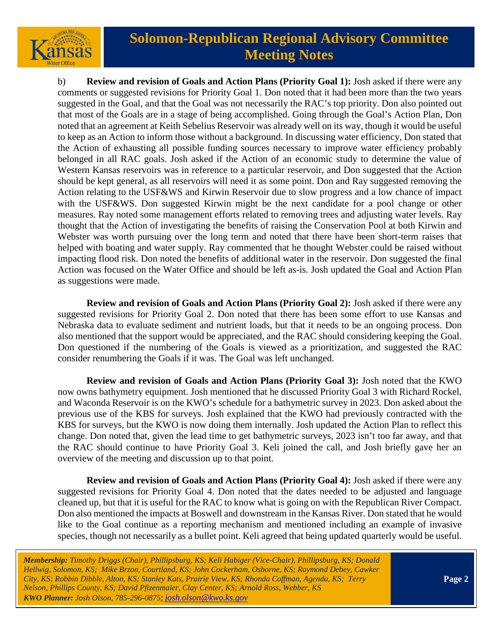

# **Solomon-Republican Regional Advisory Committee Meeting Notes**

b) **Review and revision of Goals and Action Plans (Priority Goal 1):** Josh asked if there were any comments or suggested revisions for Priority Goal 1. Don noted that it had been more than the two years suggested in the Goal, and that the Goal was not necessarily the RAC's top priority. Don also pointed out that most of the Goals are in a stage of being accomplished. Going through the Goal's Action Plan, Don noted that an agreement at Keith Sebelius Reservoir was already well on its way, though it would be useful to keep as an Action to inform those without a background. In discussing water efficiency, Don stated that the Action of exhausting all possible funding sources necessary to improve water efficiency probably belonged in all RAC goals. Josh asked if the Action of an economic study to determine the value of Western Kansas reservoirs was in reference to a particular reservoir, and Don suggested that the Action should be kept general, as all reservoirs will need it as some point. Don and Ray suggested removing the Action relating to the USF&WS and Kirwin Reservoir due to slow progress and a low chance of impact with the USF&WS. Don suggested Kirwin might be the next candidate for a pool change or other measures. Ray noted some management efforts related to removing trees and adjusting water levels. Ray thought that the Action of investigating the benefits of raising the Conservation Pool at both Kirwin and Webster was worth pursuing over the long term and noted that there have been short-term raises that helped with boating and water supply. Ray commented that he thought Webster could be raised without impacting flood risk. Don noted the benefits of additional water in the reservoir. Don suggested the final Action was focused on the Water Office and should be left as-is. Josh updated the Goal and Action Plan as suggestions were made.

**Review and revision of Goals and Action Plans (Priority Goal 2):** Josh asked if there were any suggested revisions for Priority Goal 2. Don noted that there has been some effort to use Kansas and Nebraska data to evaluate sediment and nutrient loads, but that it needs to be an ongoing process. Don also mentioned that the support would be appreciated, and the RAC should considering keeping the Goal. Don questioned if the numbering of the Goals is viewed as a prioritization, and suggested the RAC consider renumbering the Goals if it was. The Goal was left unchanged.

**Review and revision of Goals and Action Plans (Priority Goal 3):** Josh noted that the KWO now owns bathymetry equipment. Josh mentioned that he discussed Priority Goal 3 with Richard Rockel, and Waconda Reservoir is on the KWO's schedule for a bathymetric survey in 2023. Don asked about the previous use of the KBS for surveys. Josh explained that the KWO had previously contracted with the KBS for surveys, but the KWO is now doing them internally. Josh updated the Action Plan to reflect this change. Don noted that, given the lead time to get bathymetric surveys, 2023 isn't too far away, and that the RAC should continue to have Priority Goal 3. Keli joined the call, and Josh briefly gave her an overview of the meeting and discussion up to that point.

**Review and revision of Goals and Action Plans (Priority Goal 4):** Josh asked if there were any suggested revisions for Priority Goal 4. Don noted that the dates needed to be adjusted and language cleaned up, but that it is useful for the RAC to know what is going on with the Republican River Compact. Don also mentioned the impacts at Boswell and downstream in the Kansas River. Don stated that he would like to the Goal continue as a reporting mechanism and mentioned including an example of invasive species, though not necessarily as a bullet point. Keli agreed that being updated quarterly would be useful.